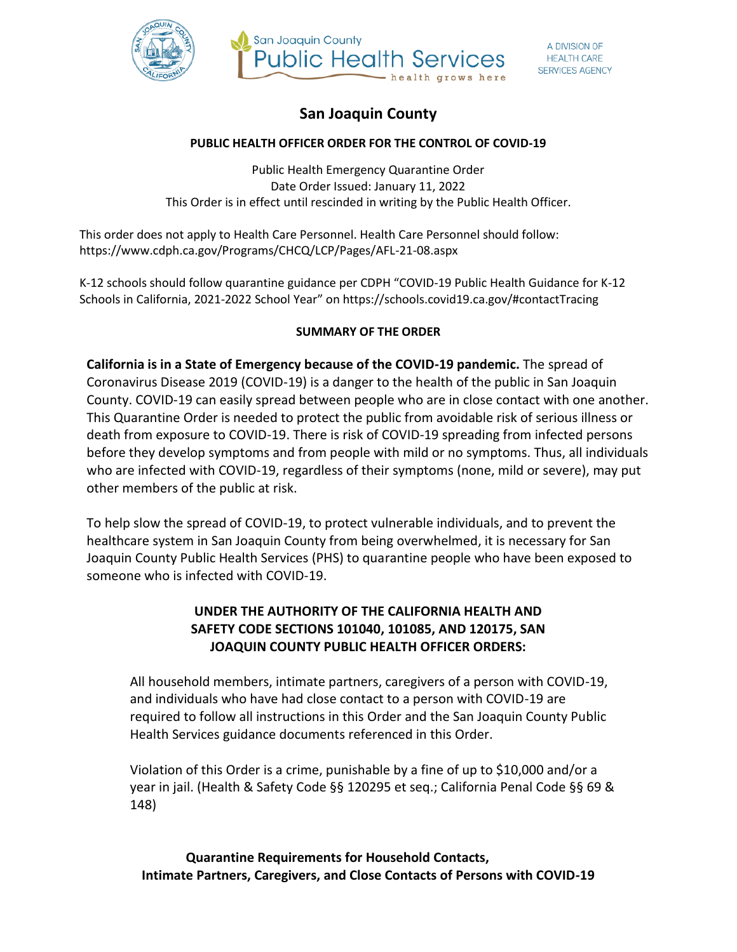



# **San Joaquin County**

#### **PUBLIC HEALTH OFFICER ORDER FOR THE CONTROL OF COVID-19**

Public Health Emergency Quarantine Order Date Order Issued: January 11, 2022 This Order is in effect until rescinded in writing by the Public Health Officer.

This order does not apply to Health Care Personnel. Health Care Personnel should follow: https://www.cdph.ca.gov/Programs/CHCQ/LCP/Pages/AFL-21-08.aspx

K-12 schools should follow quarantine guidance per CDPH "COVID-19 Public Health Guidance for K-12 Schools in California, 2021-2022 School Year" on https://schools.covid19.ca.gov/#contactTracing

### **SUMMARY OF THE ORDER**

**California is in a State of Emergency because of the COVID-19 pandemic.** The spread of Coronavirus Disease 2019 (COVID-19) is a danger to the health of the public in San Joaquin County. COVID-19 can easily spread between people who are in close contact with one another. This Quarantine Order is needed to protect the public from avoidable risk of serious illness or death from exposure to COVID-19. There is risk of COVID-19 spreading from infected persons before they develop symptoms and from people with mild or no symptoms. Thus, all individuals who are infected with COVID-19, regardless of their symptoms (none, mild or severe), may put other members of the public at risk.

To help slow the spread of COVID-19, to protect vulnerable individuals, and to prevent the healthcare system in San Joaquin County from being overwhelmed, it is necessary for San Joaquin County Public Health Services (PHS) to quarantine people who have been exposed to someone who is infected with COVID-19.

### **UNDER THE AUTHORITY OF THE CALIFORNIA HEALTH AND SAFETY CODE SECTIONS 101040, 101085, AND 120175, SAN JOAQUIN COUNTY PUBLIC HEALTH OFFICER ORDERS:**

All household members, intimate partners, caregivers of a person with COVID-19, and individuals who have had close contact to a person with COVID-19 are required to follow all instructions in this Order and the San Joaquin County Public Health Services guidance documents referenced in this Order.

Violation of this Order is a crime, punishable by a fine of up to \$10,000 and/or a year in jail. (Health & Safety Code §§ 120295 et seq.; California Penal Code §§ 69 & 148)

**Quarantine Requirements for Household Contacts, Intimate Partners, Caregivers, and Close Contacts of Persons with COVID-19**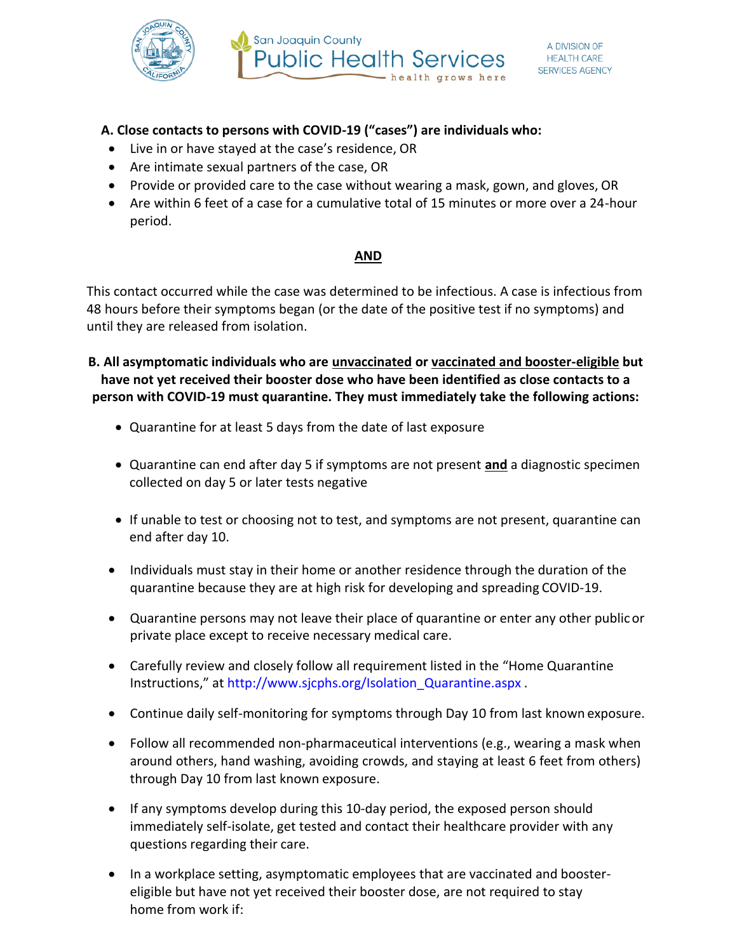

### **A. Close contacts to persons with COVID-19 ("cases") are individuals who:**

- Live in or have stayed at the case's residence, OR
- Are intimate sexual partners of the case, OR
- Provide or provided care to the case without wearing a mask, gown, and gloves, OR
- Are within 6 feet of a case for a cumulative total of 15 minutes or more over a 24-hour period.

### **AND**

This contact occurred while the case was determined to be infectious. A case is infectious from 48 hours before their symptoms began (or the date of the positive test if no symptoms) and until they are released from isolation.

**B. All asymptomatic individuals who are unvaccinated or vaccinated and booster-eligible but have not yet received their booster dose who have been identified as close contacts to a person with COVID-19 must quarantine. They must immediately take the following actions:**

- Quarantine for at least 5 days from the date of last exposure
- Quarantine can end after day 5 if symptoms are not present **and** a diagnostic specimen collected on day 5 or later tests negative
- If unable to test or choosing not to test, and symptoms are not present, quarantine can end after day 10.
- Individuals must stay in their home or another residence through the duration of the quarantine because they are at high risk for developing and spreading COVID-19.
- Quarantine persons may not leave their place of quarantine or enter any other publicor private place except to receive necessary medical care.
- Carefully review and closely follow all requirement listed in the "Home Quarantine Instructions," at [http://www.sjcphs.org/Isolation\\_Quarantine.aspx](http://www.sjcphs.org/Isolation_Quarantine.aspx) .
- Continue daily self-monitoring for symptoms through Day 10 from last known exposure.
- Follow all recommended non-pharmaceutical interventions (e.g., wearing a mask when around others, hand washing, avoiding crowds, and staying at least 6 feet from others) through Day 10 from last known exposure.
- If any symptoms develop during this 10-day period, the exposed person should immediately self-isolate, get tested and contact their healthcare provider with any questions regarding their care.
- In a workplace setting, asymptomatic employees that are vaccinated and boostereligible but have not yet received their booster dose, are not required to stay home from work if: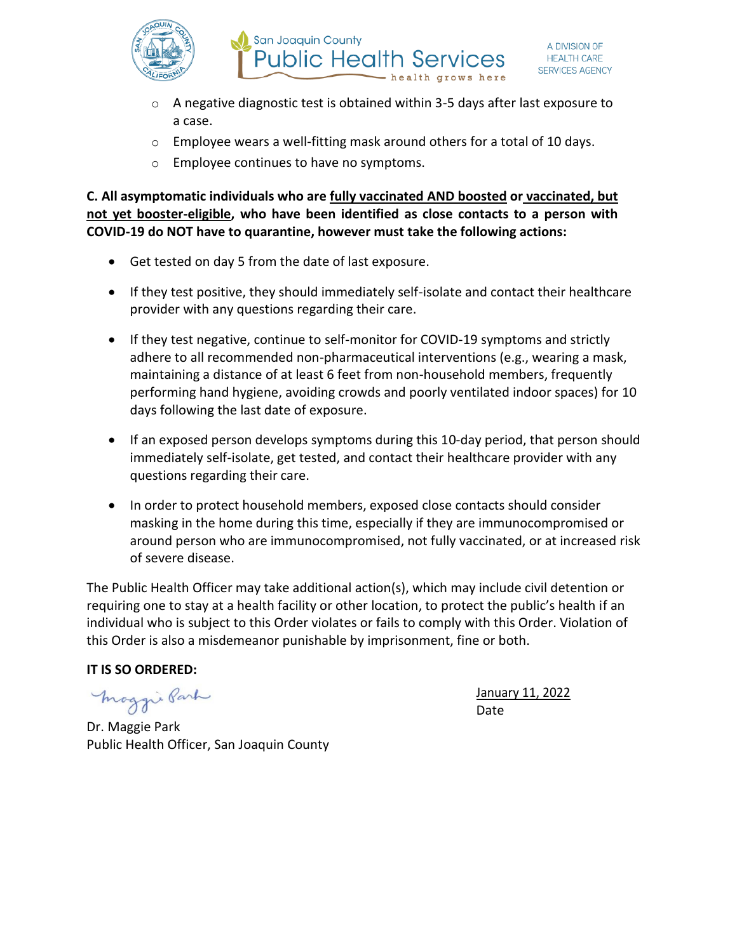

- $\circ$  A negative diagnostic test is obtained within 3-5 days after last exposure to a case.
- o Employee wears a well-fitting mask around others for a total of 10 days.
- o Employee continues to have no symptoms.

**C. All asymptomatic individuals who are fully vaccinated AND boosted or vaccinated, but not yet booster-eligible, who have been identified as close contacts to a person with COVID-19 do NOT have to quarantine, however must take the following actions:**

- Get tested on day 5 from the date of last exposure.
- If they test positive, they should immediately self-isolate and contact their healthcare provider with any questions regarding their care.
- If they test negative, continue to self-monitor for COVID-19 symptoms and strictly adhere to all recommended non-pharmaceutical interventions (e.g., wearing a mask, maintaining a distance of at least 6 feet from non-household members, frequently performing hand hygiene, avoiding crowds and poorly ventilated indoor spaces) for 10 days following the last date of exposure.
- If an exposed person develops symptoms during this 10-day period, that person should immediately self-isolate, get tested, and contact their healthcare provider with any questions regarding their care.
- In order to protect household members, exposed close contacts should consider masking in the home during this time, especially if they are immunocompromised or around person who are immunocompromised, not fully vaccinated, or at increased risk of severe disease.

The Public Health Officer may take additional action(s), which may include civil detention or requiring one to stay at a health facility or other location, to protect the public's health if an individual who is subject to this Order violates or fails to comply with this Order. Violation of this Order is also a misdemeanor punishable by imprisonment, fine or both.

### **IT IS SO ORDERED:**

maggie Park

January 11, 2022 Date

Dr. Maggie Park Public Health Officer, San Joaquin County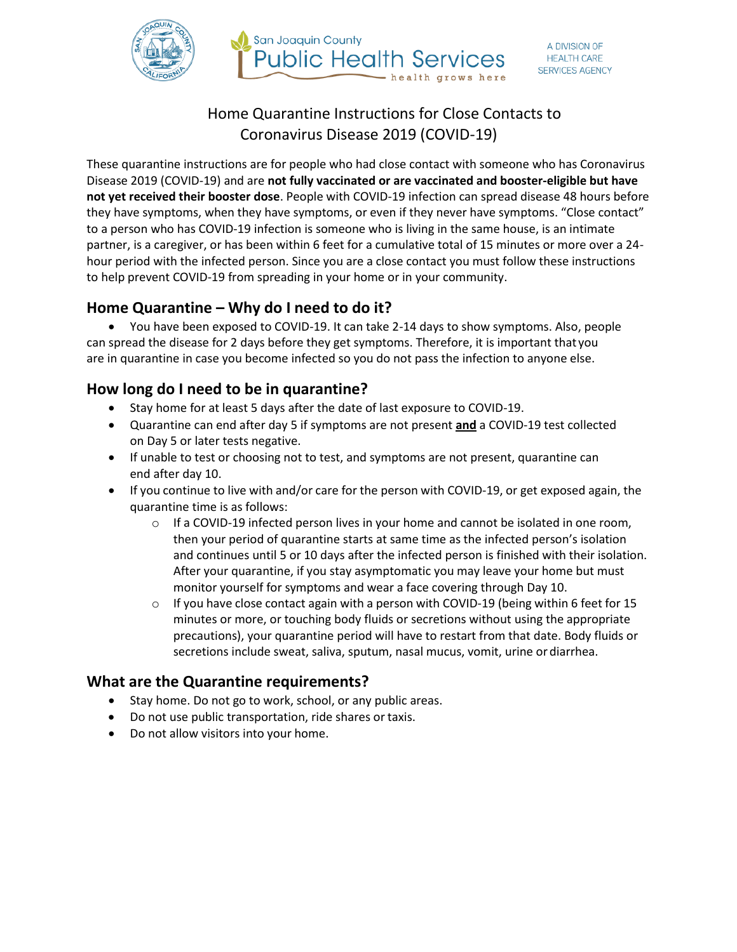



# Home Quarantine Instructions for Close Contacts to Coronavirus Disease 2019 (COVID-19)

These quarantine instructions are for people who had close contact with someone who has Coronavirus Disease 2019 (COVID-19) and are **not fully vaccinated or are vaccinated and booster-eligible but have not yet received their booster dose**. People with COVID-19 infection can spread disease 48 hours before they have symptoms, when they have symptoms, or even if they never have symptoms. "Close contact" to a person who has COVID-19 infection is someone who is living in the same house, is an intimate partner, is a caregiver, or has been within 6 feet for a cumulative total of 15 minutes or more over a 24 hour period with the infected person. Since you are a close contact you must follow these instructions to help prevent COVID-19 from spreading in your home or in your community.

# **Home Quarantine – Why do I need to do it?**

• You have been exposed to COVID-19. It can take 2-14 days to show symptoms. Also, people can spread the disease for 2 days before they get symptoms. Therefore, it is important that you are in quarantine in case you become infected so you do not pass the infection to anyone else.

## **How long do I need to be in quarantine?**

- Stay home for at least 5 days after the date of last exposure to COVID-19.
- Quarantine can end after day 5 if symptoms are not present **and** a COVID-19 test collected on Day 5 or later tests negative.
- If unable to test or choosing not to test, and symptoms are not present, quarantine can end after day 10.
- If you continue to live with and/or care for the person with COVID-19, or get exposed again, the quarantine time is as follows:
	- $\circ$  If a COVID-19 infected person lives in your home and cannot be isolated in one room, then your period of quarantine starts at same time as the infected person's isolation and continues until 5 or 10 days after the infected person is finished with their isolation. After your quarantine, if you stay asymptomatic you may leave your home but must monitor yourself for symptoms and wear a face covering through Day 10.
	- $\circ$  If you have close contact again with a person with COVID-19 (being within 6 feet for 15 minutes or more, or touching body fluids or secretions without using the appropriate precautions), your quarantine period will have to restart from that date. Body fluids or secretions include sweat, saliva, sputum, nasal mucus, vomit, urine or diarrhea.

# **What are the Quarantine requirements?**

- Stay home. Do not go to work, school, or any public areas.
- Do not use public transportation, ride shares or taxis.
- Do not allow visitors into your home.